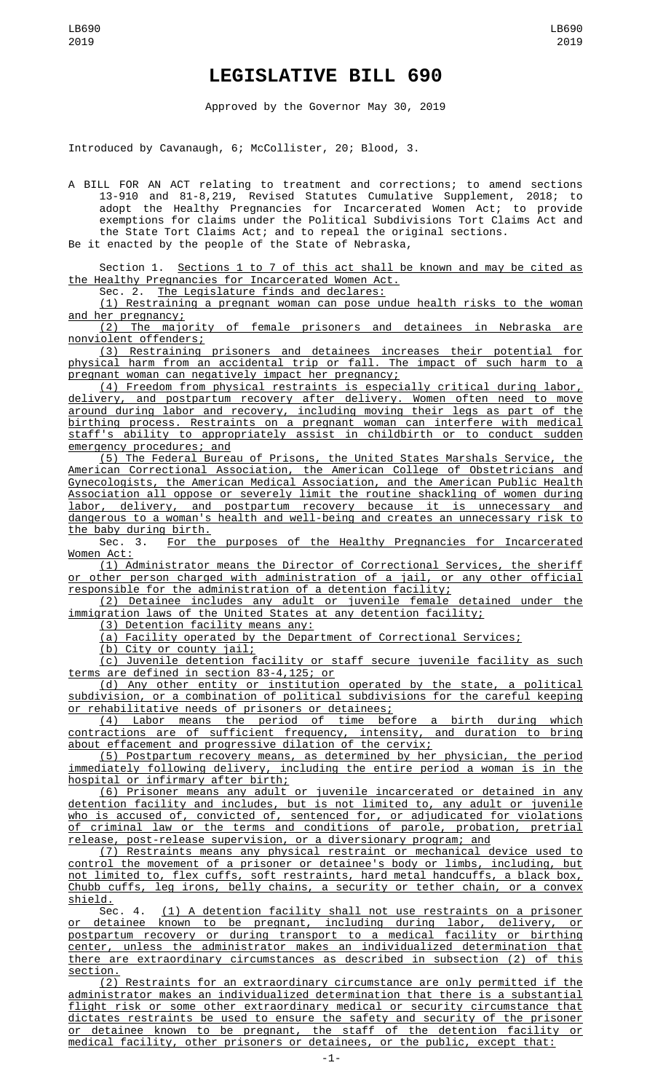## **LEGISLATIVE BILL 690**

Approved by the Governor May 30, 2019

Introduced by Cavanaugh, 6; McCollister, 20; Blood, 3.

A BILL FOR AN ACT relating to treatment and corrections; to amend sections 13-910 and 81-8,219, Revised Statutes Cumulative Supplement, 2018; to adopt the Healthy Pregnancies for Incarcerated Women Act; to provide exemptions for claims under the Political Subdivisions Tort Claims Act and the State Tort Claims Act; and to repeal the original sections.

Be it enacted by the people of the State of Nebraska,

Section 1. Sections 1 to 7 of this act shall be known and may be cited as the Healthy Pregnancies for Incarcerated Women Act.<br>Sec. 2. The Leaislature finds and declares:

The Legislature finds and declares:

(1) Restraining a pregnant woman can pose undue health risks to the woman and her pregnancy;

(2) The majority of female prisoners and detainees in Nebraska are nonviolent offenders;

(3) Restraining prisoners and detainees increases their potential for physical harm from an accidental trip or fall. The impact of such harm to a pregnant woman can negatively impact her pregnancy;

(4) Freedom from physical restraints is especially critical during labor, delivery, and postpartum recovery after delivery. Women often need to move around during labor and recovery, including moving their legs as part of the birthing process. Restraints on a pregnant woman can interfere with medical staff's ability to appropriately assist in childbirth or to conduct sudden emergency procedures; and

(5) The Federal Bureau of Prisons, the United States Marshals Service, the American Correctional Association, the American College of Obstetricians and Gynecologists, the American Medical Association, and the American Public Health Association all oppose or severely limit the routine shackling of women during labor, delivery, and postpartum recovery because it is unnecessary and dangerous to a woman's health and well-being and creates an unnecessary risk to

<u>the baby during birth.</u><br>Sec. 3. <u>For the</u> For the purposes of the Healthy Pregnancies for Incarcerated Women Act:

(1) Administrator means the Director of Correctional Services, the sheriff other person charged with administration of a jail, or any other official responsible for the administration of a detention facility;

(2) Detainee includes any adult or juvenile female detained under the immigration laws of the United States at any detention facility;

(3) Detention facility means any:

(a) Facility operated by the Department of Correctional Services;

(b) City or county jail;

(c) Juvenile detention facility or staff secure juvenile facility as such terms are defined in section 83-4,125; or

(d) Any other entity or institution operated by the state, a political subdivision, or a combination of political subdivisions for the careful keeping or rehabilitative needs of prisoners or detainees;

(4) Labor means the period of time before a birth during which contractions are of sufficient frequency, intensity, and duration to bring about effacement and progressive dilation of the cervix;

(5) Postpartum recovery means, as determined by her physician, the period immediately following delivery, including the entire period a woman is in the hospital or infirmary after birth;

(6) Prisoner means any adult or juvenile incarcerated or detained in any detention facility and includes, but is not limited to, any adult or juvenile who is accused of, convicted of, sentenced for, or adjudicated for violations of criminal law or the terms and conditions of parole, probation, pretrial release, post-release supervision, or a diversionary program; and

(7) Restraints means any physical restraint or mechanical device used to control the movement of a prisoner or detainee's body or limbs, including, but not limited to, flex cuffs, soft restraints, hard metal handcuffs, a black box, Chubb cuffs, leg irons, belly chains, a security or tether chain, or a convex shield.

Sec. 4. (1) A detention facility shall not use restraints on a prisoner or detainee known to be pregnant, including during labor, delivery, or postpartum recovery or during transport to a medical facility or birthing center, unless the administrator makes an individualized determination that there are extraordinary circumstances as described in subsection (2) of this section.

(2) Restraints for an extraordinary circumstance are only permitted if the administrator makes an individualized determination that there is a substantial flight risk or some other extraordinary medical or security circumstance that dictates restraints be used to ensure the safety and security of the prisoner or detainee known to be pregnant, the staff of the detention facility or medical facility, other prisoners or detainees, or the public, except that: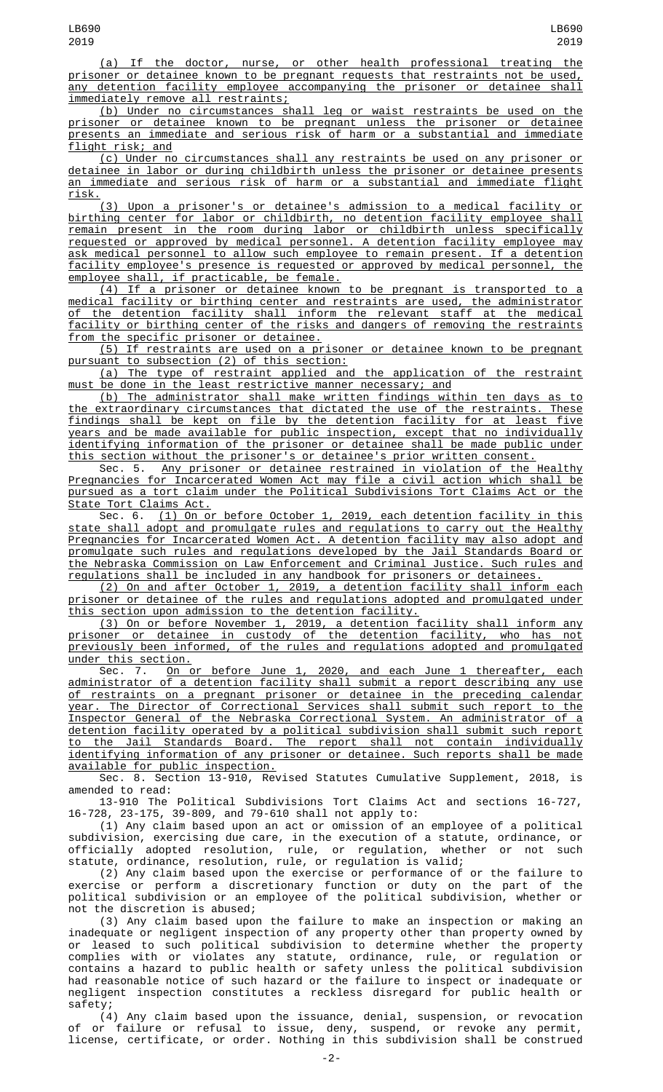(a) If the doctor, nurse, or other health professional treating the prisoner or detainee known to be pregnant requests that restraints not be used, any detention facility employee accompanying the prisoner or detainee shall immediately remove all restraints;

(b) Under no circumstances shall leg or waist restraints be used on the prisoner or detainee known to be pregnant unless the prisoner or detainee presents an immediate and serious risk of harm or a substantial and immediate flight risk; and

(c) Under no circumstances shall any restraints be used on any prisoner or detainee in labor or during childbirth unless the prisoner or detainee presents an immediate and serious risk of harm or a substantial and immediate flight risk.

(3) Upon a prisoner's or detainee's admission to a medical facility or birthing center for labor or childbirth, no detention facility employee shall remain present in the room during labor or childbirth unless specifically requested or approved by medical personnel. A detention facility employee may ask medical personnel to allow such employee to remain present. If a detention facility employee's presence is requested or approved by medical personnel, the employee shall, if practicable, be female.

(4) If a prisoner or detainee known to be pregnant is transported to a medical facility or birthing center and restraints are used, the administrator of the detention facility shall inform the relevant staff at the medical facility or birthing center of the risks and dangers of removing the restraints from the specific prisoner or detainee.

(5) If restraints are used on a prisoner or detainee known to be pregnant pursuant to subsection (2) of this section:

(a) The type of restraint applied and the application of the restraint must be done in the least restrictive manner necessary; and

(b) The administrator shall make written findings within ten days as to the extraordinary circumstances that dictated the use of the restraints. These findings shall be kept on file by the detention facility for at least five years and be made available for public inspection, except that no individually identifying information of the prisoner or detainee shall be made public under this section without the prisoner's or detainee's prior written consent.

Sec. 5. Any prisoner or detainee restrained in violation of the Healthy Pregnancies for Incarcerated Women Act may file a civil action which shall be pursued as a tort claim under the Political Subdivisions Tort Claims Act or the State Tort Claims Act.

Sec. 6. (1) On or before October 1, 2019, each detention facility in this state shall adopt and promulgate rules and regulations to carry out the Healthy Pregnancies for Incarcerated Women Act. A detention facility may also adopt and promulgate such rules and regulations developed by the Jail Standards Board or the Nebraska Commission on Law Enforcement and Criminal Justice. Such rules and regulations shall be included in any handbook for prisoners or detainees.

(2) On and after October 1, 2019, a detention facility shall inform each prisoner or detainee of the rules and regulations adopted and promulgated under this section upon admission to the detention facility.

(3) On or before November 1, 2019, a detention facility shall inform any prisoner or detainee in custody of the detention facility, who has not previously been informed, of the rules and regulations adopted and promulgated under this section.<br>Sec. 7. On o

Sec. 7. <u>On or before June 1, 2020, and each June 1 thereafter, each</u> administrator of a detention facility shall submit a report describing any use of restraints on a pregnant prisoner or detainee in the preceding calendar year. The Director of Correctional Services shall submit such report to the Inspector General of the Nebraska Correctional System. An administrator of a detention facility operated by a political subdivision shall submit such report to the Jail Standards Board. The report shall not contain individually identifying information of any prisoner or detainee. Such reports shall be made available for public inspection.

Sec. 8. Section 13-910, Revised Statutes Cumulative Supplement, 2018, is amended to read:

13-910 The Political Subdivisions Tort Claims Act and sections 16-727, 16-728, 23-175, 39-809, and 79-610 shall not apply to:

(1) Any claim based upon an act or omission of an employee of a political subdivision, exercising due care, in the execution of a statute, ordinance, or officially adopted resolution, rule, or regulation, whether or not such statute, ordinance, resolution, rule, or regulation is valid;

(2) Any claim based upon the exercise or performance of or the failure to exercise or perform a discretionary function or duty on the part of the political subdivision or an employee of the political subdivision, whether or not the discretion is abused;

(3) Any claim based upon the failure to make an inspection or making an inadequate or negligent inspection of any property other than property owned by or leased to such political subdivision to determine whether the property complies with or violates any statute, ordinance, rule, or regulation or contains a hazard to public health or safety unless the political subdivision had reasonable notice of such hazard or the failure to inspect or inadequate or negligent inspection constitutes a reckless disregard for public health or safety;

(4) Any claim based upon the issuance, denial, suspension, or revocation of or failure or refusal to issue, deny, suspend, or revoke any permit, license, certificate, or order. Nothing in this subdivision shall be construed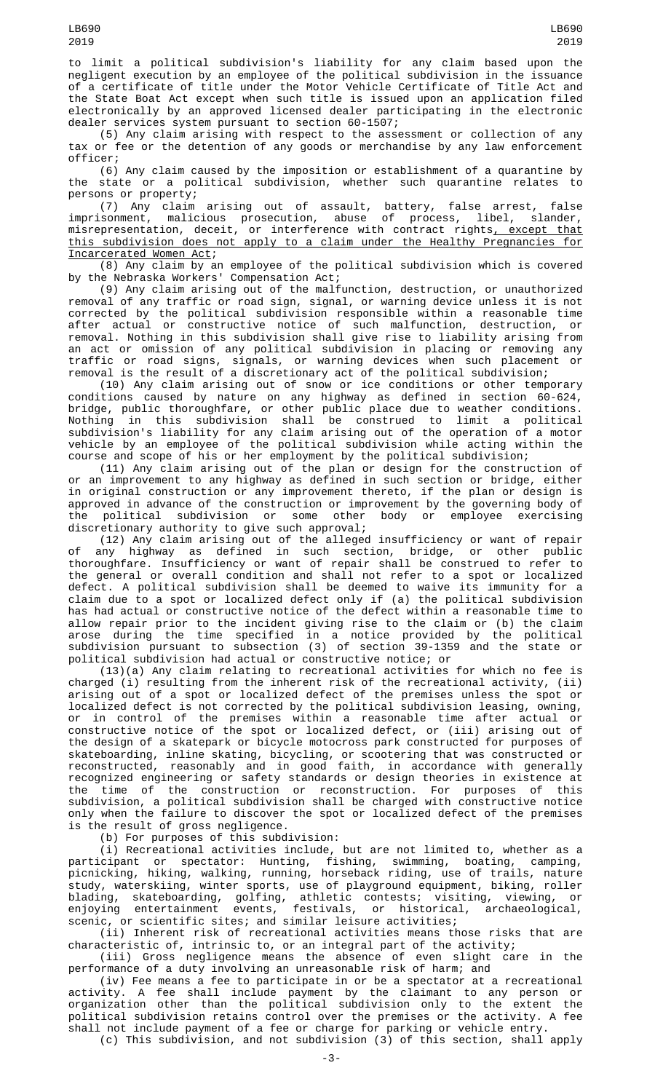to limit a political subdivision's liability for any claim based upon the negligent execution by an employee of the political subdivision in the issuance of a certificate of title under the Motor Vehicle Certificate of Title Act and the State Boat Act except when such title is issued upon an application filed electronically by an approved licensed dealer participating in the electronic dealer services system pursuant to section 60-1507;

(5) Any claim arising with respect to the assessment or collection of any tax or fee or the detention of any goods or merchandise by any law enforcement officer;

(6) Any claim caused by the imposition or establishment of a quarantine by the state or a political subdivision, whether such quarantine relates to persons or property;

(7) Any claim arising out of assault, battery, false arrest, false imprisonment, malicious prosecution, abuse of process, libel, slander, misrepresentation, deceit, or interference with contract rights<u>, except that</u> this subdivision does not apply to a claim under the Healthy Pregnancies for Incarcerated Women Act;

(8) Any claim by an employee of the political subdivision which is covered by the Nebraska Workers' Compensation Act;

(9) Any claim arising out of the malfunction, destruction, or unauthorized removal of any traffic or road sign, signal, or warning device unless it is not corrected by the political subdivision responsible within a reasonable time after actual or constructive notice of such malfunction, destruction, or removal. Nothing in this subdivision shall give rise to liability arising from an act or omission of any political subdivision in placing or removing any traffic or road signs, signals, or warning devices when such placement or removal is the result of a discretionary act of the political subdivision;

(10) Any claim arising out of snow or ice conditions or other temporary conditions caused by nature on any highway as defined in section 60-624, bridge, public thoroughfare, or other public place due to weather conditions. Nothing in this subdivision shall be construed to limit a political subdivision's liability for any claim arising out of the operation of a motor vehicle by an employee of the political subdivision while acting within the course and scope of his or her employment by the political subdivision;

(11) Any claim arising out of the plan or design for the construction of or an improvement to any highway as defined in such section or bridge, either in original construction or any improvement thereto, if the plan or design is approved in advance of the construction or improvement by the governing body of<br>the political subdivision or some other body or employee exercising the political subdivision or some other body or employee exercising discretionary authority to give such approval;

(12) Any claim arising out of the alleged insufficiency or want of repair of any highway as defined in such section, bridge, or other public thoroughfare. Insufficiency or want of repair shall be construed to refer to the general or overall condition and shall not refer to a spot or localized defect. A political subdivision shall be deemed to waive its immunity for a claim due to a spot or localized defect only if (a) the political subdivision has had actual or constructive notice of the defect within a reasonable time to allow repair prior to the incident giving rise to the claim or (b) the claim arose during the time specified in a notice provided by the political subdivision pursuant to subsection (3) of section 39-1359 and the state or political subdivision had actual or constructive notice; or

(13)(a) Any claim relating to recreational activities for which no fee is charged (i) resulting from the inherent risk of the recreational activity, (ii) arising out of a spot or localized defect of the premises unless the spot or localized defect is not corrected by the political subdivision leasing, owning, or in control of the premises within a reasonable time after actual or constructive notice of the spot or localized defect, or (iii) arising out of the design of a skatepark or bicycle motocross park constructed for purposes of skateboarding, inline skating, bicycling, or scootering that was constructed or reconstructed, reasonably and in good faith, in accordance with generally recognized engineering or safety standards or design theories in existence at the time of the construction or reconstruction. For purposes of this subdivision, a political subdivision shall be charged with constructive notice only when the failure to discover the spot or localized defect of the premises is the result of gross negligence.

(b) For purposes of this subdivision:

(i) Recreational activities include, but are not limited to, whether as a participant or spectator: Hunting, fishing, swimming, boating, camping, picnicking, hiking, walking, running, horseback riding, use of trails, nature study, waterskiing, winter sports, use of playground equipment, biking, roller blading, skateboarding, golfing, athletic contests; visiting, viewing, or enjoying entertainment events, festivals, or historical, archaeological, scenic, or scientific sites; and similar leisure activities;

(ii) Inherent risk of recreational activities means those risks that are characteristic of, intrinsic to, or an integral part of the activity;

(iii) Gross negligence means the absence of even slight care in the performance of a duty involving an unreasonable risk of harm; and

(iv) Fee means a fee to participate in or be a spectator at a recreational activity. A fee shall include payment by the claimant to any person or organization other than the political subdivision only to the extent the political subdivision retains control over the premises or the activity. A fee shall not include payment of a fee or charge for parking or vehicle entry.

(c) This subdivision, and not subdivision (3) of this section, shall apply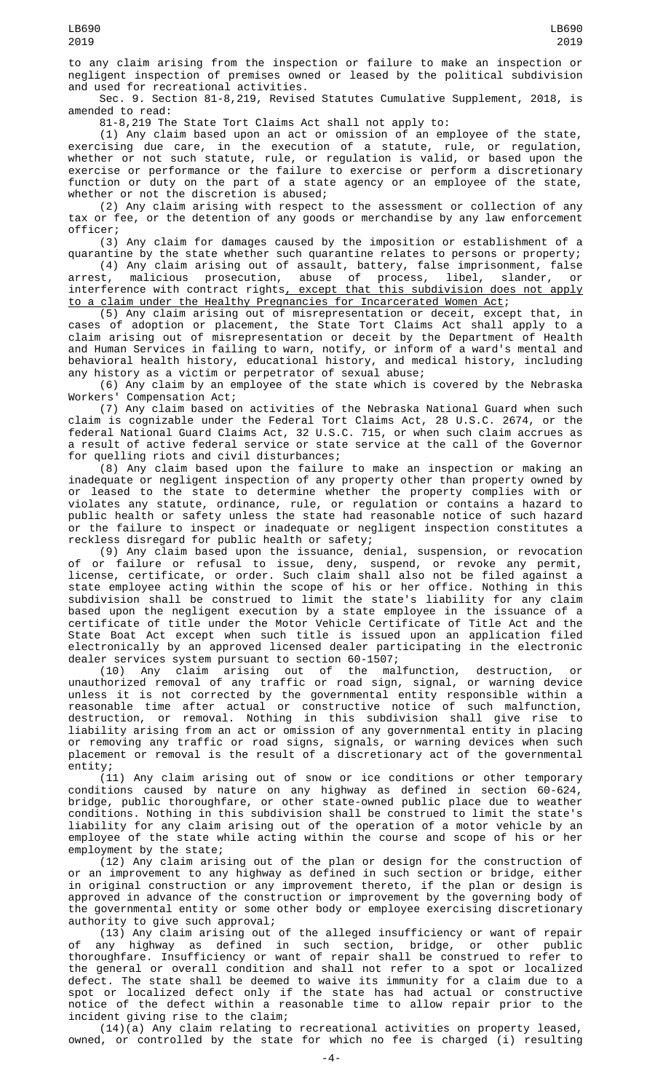Sec. 9. Section 81-8,219, Revised Statutes Cumulative Supplement, 2018, is amended to read:

81-8,219 The State Tort Claims Act shall not apply to:

(1) Any claim based upon an act or omission of an employee of the state, exercising due care, in the execution of a statute, rule, or regulation, whether or not such statute, rule, or regulation is valid, or based upon the exercise or performance or the failure to exercise or perform a discretionary function or duty on the part of a state agency or an employee of the state, whether or not the discretion is abused;

(2) Any claim arising with respect to the assessment or collection of any tax or fee, or the detention of any goods or merchandise by any law enforcement officer;

(3) Any claim for damages caused by the imposition or establishment of a quarantine by the state whether such quarantine relates to persons or property;

(4) Any claim arising out of assault, battery, false imprisonment, false arrest, malicious prosecution, abuse of process, libel, slander, or interference with contract rights<u>, except that this subdivision does not apply</u> to a claim under the Healthy Pregnancies for Incarcerated Women Act;

(5) Any claim arising out of misrepresentation or deceit, except that, in cases of adoption or placement, the State Tort Claims Act shall apply to a claim arising out of misrepresentation or deceit by the Department of Health and Human Services in failing to warn, notify, or inform of a ward's mental and behavioral health history, educational history, and medical history, including any history as a victim or perpetrator of sexual abuse;

(6) Any claim by an employee of the state which is covered by the Nebraska Workers' Compensation Act;

(7) Any claim based on activities of the Nebraska National Guard when such claim is cognizable under the Federal Tort Claims Act, 28 U.S.C. 2674, or the federal National Guard Claims Act, 32 U.S.C. 715, or when such claim accrues as a result of active federal service or state service at the call of the Governor for quelling riots and civil disturbances;

(8) Any claim based upon the failure to make an inspection or making an inadequate or negligent inspection of any property other than property owned by or leased to the state to determine whether the property complies with or violates any statute, ordinance, rule, or regulation or contains a hazard to public health or safety unless the state had reasonable notice of such hazard or the failure to inspect or inadequate or negligent inspection constitutes a reckless disregard for public health or safety;

(9) Any claim based upon the issuance, denial, suspension, or revocation of or failure or refusal to issue, deny, suspend, or revoke any permit, license, certificate, or order. Such claim shall also not be filed against a state employee acting within the scope of his or her office. Nothing in this subdivision shall be construed to limit the state's liability for any claim based upon the negligent execution by a state employee in the issuance of a certificate of title under the Motor Vehicle Certificate of Title Act and the State Boat Act except when such title is issued upon an application filed electronically by an approved licensed dealer participating in the electronic dealer services system pursuant to section 60-1507;

(10) Any claim arising out of the malfunction, destruction, or unauthorized removal of any traffic or road sign, signal, or warning device unless it is not corrected by the governmental entity responsible within a reasonable time after actual or constructive notice of such malfunction, destruction, or removal. Nothing in this subdivision shall give rise to liability arising from an act or omission of any governmental entity in placing or removing any traffic or road signs, signals, or warning devices when such placement or removal is the result of a discretionary act of the governmental entity;

(11) Any claim arising out of snow or ice conditions or other temporary conditions caused by nature on any highway as defined in section 60-624, bridge, public thoroughfare, or other state-owned public place due to weather conditions. Nothing in this subdivision shall be construed to limit the state's liability for any claim arising out of the operation of a motor vehicle by an employee of the state while acting within the course and scope of his or her employment by the state;

(12) Any claim arising out of the plan or design for the construction of or an improvement to any highway as defined in such section or bridge, either in original construction or any improvement thereto, if the plan or design is approved in advance of the construction or improvement by the governing body of the governmental entity or some other body or employee exercising discretionary authority to give such approval;

(13) Any claim arising out of the alleged insufficiency or want of repair of any highway as defined in such section, bridge, or other public thoroughfare. Insufficiency or want of repair shall be construed to refer to the general or overall condition and shall not refer to a spot or localized defect. The state shall be deemed to waive its immunity for a claim due to a spot or localized defect only if the state has had actual or constructive notice of the defect within a reasonable time to allow repair prior to the incident giving rise to the claim;

(14)(a) Any claim relating to recreational activities on property leased, owned, or controlled by the state for which no fee is charged (i) resulting